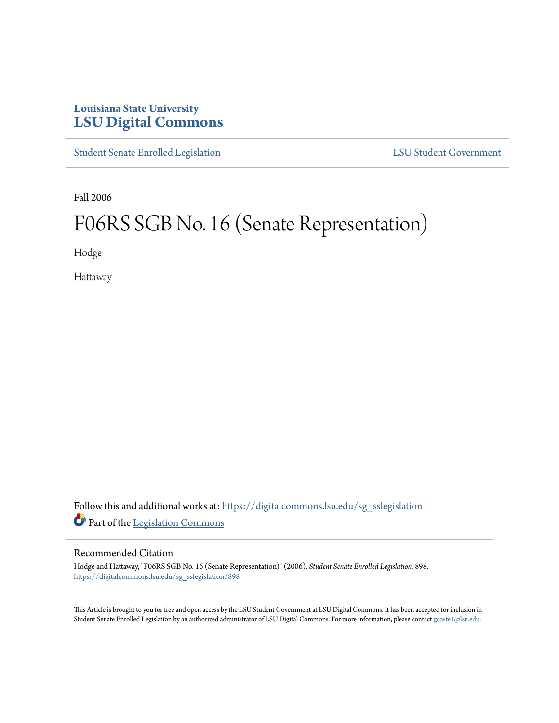## **Louisiana State University [LSU Digital Commons](https://digitalcommons.lsu.edu?utm_source=digitalcommons.lsu.edu%2Fsg_sslegislation%2F898&utm_medium=PDF&utm_campaign=PDFCoverPages)**

[Student Senate Enrolled Legislation](https://digitalcommons.lsu.edu/sg_sslegislation?utm_source=digitalcommons.lsu.edu%2Fsg_sslegislation%2F898&utm_medium=PDF&utm_campaign=PDFCoverPages) [LSU Student Government](https://digitalcommons.lsu.edu/sg?utm_source=digitalcommons.lsu.edu%2Fsg_sslegislation%2F898&utm_medium=PDF&utm_campaign=PDFCoverPages)

Fall 2006

## F06RS SGB No. 16 (Senate Representation)

Hodge

Hattaway

Follow this and additional works at: [https://digitalcommons.lsu.edu/sg\\_sslegislation](https://digitalcommons.lsu.edu/sg_sslegislation?utm_source=digitalcommons.lsu.edu%2Fsg_sslegislation%2F898&utm_medium=PDF&utm_campaign=PDFCoverPages) Part of the [Legislation Commons](http://network.bepress.com/hgg/discipline/859?utm_source=digitalcommons.lsu.edu%2Fsg_sslegislation%2F898&utm_medium=PDF&utm_campaign=PDFCoverPages)

## Recommended Citation

Hodge and Hattaway, "F06RS SGB No. 16 (Senate Representation)" (2006). *Student Senate Enrolled Legislation*. 898. [https://digitalcommons.lsu.edu/sg\\_sslegislation/898](https://digitalcommons.lsu.edu/sg_sslegislation/898?utm_source=digitalcommons.lsu.edu%2Fsg_sslegislation%2F898&utm_medium=PDF&utm_campaign=PDFCoverPages)

This Article is brought to you for free and open access by the LSU Student Government at LSU Digital Commons. It has been accepted for inclusion in Student Senate Enrolled Legislation by an authorized administrator of LSU Digital Commons. For more information, please contact [gcoste1@lsu.edu.](mailto:gcoste1@lsu.edu)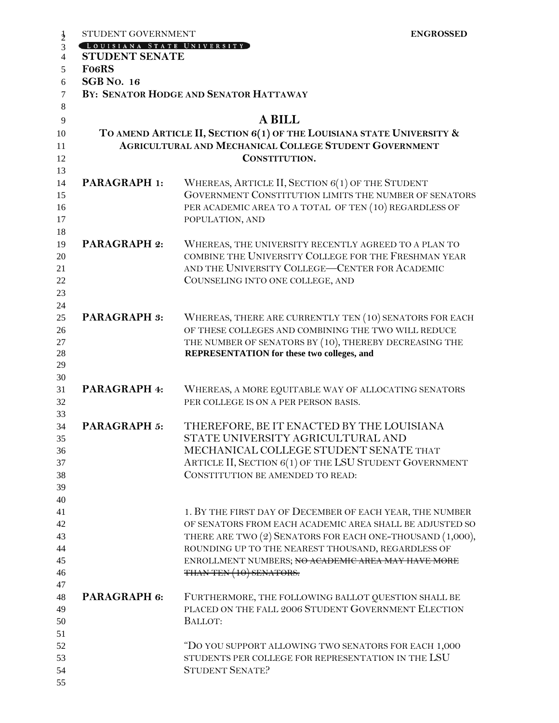|               | STUDENT GOVERNMENT                                            | <b>ENGROSSED</b>                                                      |  |  |
|---------------|---------------------------------------------------------------|-----------------------------------------------------------------------|--|--|
| $\frac{1}{2}$ | LOUISIANA STATE UNIVERSITY                                    |                                                                       |  |  |
| 4             | <b>STUDENT SENATE</b>                                         |                                                                       |  |  |
| 5             | <b>FocRS</b>                                                  |                                                                       |  |  |
| 6             | <b>SGB</b> No. 16                                             |                                                                       |  |  |
| $\tau$        | BY: SENATOR HODGE AND SENATOR HATTAWAY                        |                                                                       |  |  |
| 8             |                                                               |                                                                       |  |  |
| 9             |                                                               | <b>A BILL</b>                                                         |  |  |
| 10            |                                                               | TO AMEND ARTICLE II, SECTION 6(1) OF THE LOUISIANA STATE UNIVERSITY & |  |  |
| 11            | <b>AGRICULTURAL AND MECHANICAL COLLEGE STUDENT GOVERNMENT</b> |                                                                       |  |  |
| 12            |                                                               | CONSTITUTION.                                                         |  |  |
| 13            |                                                               |                                                                       |  |  |
| 14            | <b>PARAGRAPH 1:</b>                                           | WHEREAS, ARTICLE II, SECTION 6(1) OF THE STUDENT                      |  |  |
| 15            |                                                               | GOVERNMENT CONSTITUTION LIMITS THE NUMBER OF SENATORS                 |  |  |
| 16            |                                                               | PER ACADEMIC AREA TO A TOTAL OF TEN (10) REGARDLESS OF                |  |  |
| 17            |                                                               | POPULATION, AND                                                       |  |  |
| 18            |                                                               |                                                                       |  |  |
| 19            | <b>PARAGRAPH 2:</b>                                           | WHEREAS, THE UNIVERSITY RECENTLY AGREED TO A PLAN TO                  |  |  |
| 20            |                                                               | COMBINE THE UNIVERSITY COLLEGE FOR THE FRESHMAN YEAR                  |  |  |
| 21            |                                                               | AND THE UNIVERSITY COLLEGE-CENTER FOR ACADEMIC                        |  |  |
| 22            |                                                               | COUNSELING INTO ONE COLLEGE, AND                                      |  |  |
| 23            |                                                               |                                                                       |  |  |
| 24            |                                                               |                                                                       |  |  |
| 25            | <b>PARAGRAPH 3:</b>                                           | WHEREAS, THERE ARE CURRENTLY TEN (10) SENATORS FOR EACH               |  |  |
| 26            |                                                               | OF THESE COLLEGES AND COMBINING THE TWO WILL REDUCE                   |  |  |
| 27            |                                                               | THE NUMBER OF SENATORS BY (10), THEREBY DECREASING THE                |  |  |
| 28            |                                                               | REPRESENTATION for these two colleges, and                            |  |  |
| 29            |                                                               |                                                                       |  |  |
| 30            |                                                               |                                                                       |  |  |
| 31            | PARAGRAPH 4:                                                  | WHEREAS, A MORE EQUITABLE WAY OF ALLOCATING SENATORS                  |  |  |
| 32            |                                                               | PER COLLEGE IS ON A PER PERSON BASIS.                                 |  |  |
| 33            |                                                               |                                                                       |  |  |
| 34            | <b>PARAGRAPH 5:</b>                                           | THEREFORE, BE IT ENACTED BY THE LOUISIANA                             |  |  |
| 35            |                                                               | STATE UNIVERSITY AGRICULTURAL AND                                     |  |  |
| 36            |                                                               | MECHANICAL COLLEGE STUDENT SENATE THAT                                |  |  |
| 37            |                                                               | ARTICLE II, SECTION 6(1) OF THE LSU STUDENT GOVERNMENT                |  |  |
| 38            |                                                               | CONSTITUTION BE AMENDED TO READ:                                      |  |  |
| 39            |                                                               |                                                                       |  |  |
| 40            |                                                               |                                                                       |  |  |
| 41            |                                                               | 1. BY THE FIRST DAY OF DECEMBER OF EACH YEAR, THE NUMBER              |  |  |
| 42            |                                                               | OF SENATORS FROM EACH ACADEMIC AREA SHALL BE ADJUSTED SO              |  |  |
| 43            |                                                               | THERE ARE TWO (2) SENATORS FOR EACH ONE-THOUSAND (1,000),             |  |  |
| 44            |                                                               | ROUNDING UP TO THE NEAREST THOUSAND, REGARDLESS OF                    |  |  |
| 45            |                                                               | ENROLLMENT NUMBERS; NO ACADEMIC AREA MAY HAVE MORE                    |  |  |
| 46            |                                                               | THAN TEN (10) SENATORS.                                               |  |  |
| 47            |                                                               |                                                                       |  |  |
| 48            | PARAGRAPH 6:                                                  | FURTHERMORE, THE FOLLOWING BALLOT QUESTION SHALL BE                   |  |  |
| 49            |                                                               | PLACED ON THE FALL 2006 STUDENT GOVERNMENT ELECTION                   |  |  |
| 50            |                                                               | BALLOT:                                                               |  |  |
| 51            |                                                               |                                                                       |  |  |
| 52            |                                                               | "DO YOU SUPPORT ALLOWING TWO SENATORS FOR EACH 1,000                  |  |  |
| 53            |                                                               | STUDENTS PER COLLEGE FOR REPRESENTATION IN THE LSU                    |  |  |
| 54            |                                                               | <b>STUDENT SENATE?</b>                                                |  |  |
| 55            |                                                               |                                                                       |  |  |